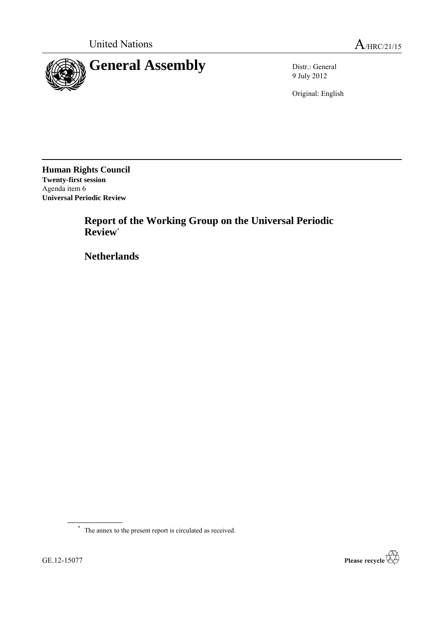

9 July 2012

Original: English

**Human Rights Council Twenty-first session** Agenda item 6 **Universal Periodic Review**

> **Report of the Working Group on the Universal Periodic Review**\*

**Netherlands**

\* The annex to the present report is circulated as received.

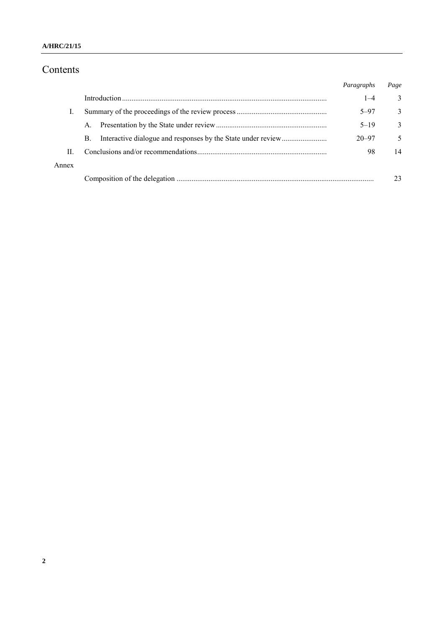### **A/HRC/21/15**

# Contents

|       |    | Paragraphs | Page |
|-------|----|------------|------|
|       |    | $1 - 4$    | 3    |
|       |    | $5 - 97$   | 3    |
|       | A. | $5 - 19$   | 3    |
|       | B. | $20 - 97$  | 5    |
| П     |    | 98         | 14   |
| Annex |    |            |      |
|       |    |            | 23   |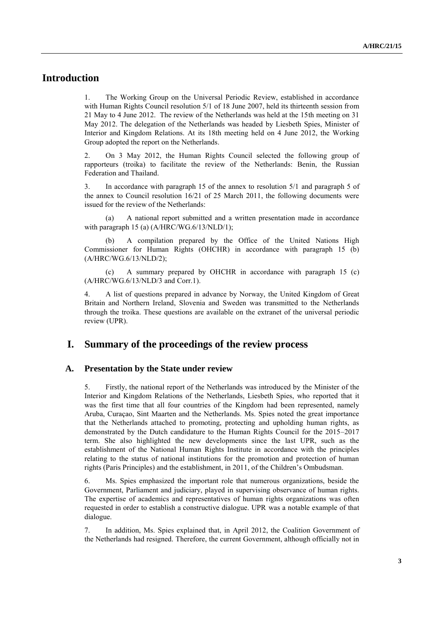## **Introduction**

1. The Working Group on the Universal Periodic Review, established in accordance with Human Rights Council resolution 5/1 of 18 June 2007, held its thirteenth session from 21 May to 4 June 2012. The review of the Netherlands was held at the 15th meeting on 31 May 2012. The delegation of the Netherlands was headed by Liesbeth Spies, Minister of Interior and Kingdom Relations. At its 18th meeting held on 4 June 2012, the Working Group adopted the report on the Netherlands.

2. On 3 May 2012, the Human Rights Council selected the following group of rapporteurs (troika) to facilitate the review of the Netherlands: Benin, the Russian Federation and Thailand.

3. In accordance with paragraph 15 of the annex to resolution 5/1 and paragraph 5 of the annex to Council resolution 16/21 of 25 March 2011, the following documents were issued for the review of the Netherlands:

(a) A national report submitted and a written presentation made in accordance with paragraph 15 (a) (A/HRC/WG.6/13/NLD/1);

A compilation prepared by the Office of the United Nations High Commissioner for Human Rights (OHCHR) in accordance with paragraph 15 (b) (A/HRC/WG.6/13/NLD/2);

(c) A summary prepared by OHCHR in accordance with paragraph 15 (c) (A/HRC/WG.6/13/NLD/3 and Corr.1).

4. A list of questions prepared in advance by Norway, the United Kingdom of Great Britain and Northern Ireland, Slovenia and Sweden was transmitted to the Netherlands through the troika. These questions are available on the extranet of the universal periodic review (UPR).

### **I. Summary of the proceedings of the review process**

#### **A. Presentation by the State under review**

5. Firstly, the national report of the Netherlands was introduced by the Minister of the Interior and Kingdom Relations of the Netherlands, Liesbeth Spies, who reported that it was the first time that all four countries of the Kingdom had been represented, namely Aruba, Curaçao, Sint Maarten and the Netherlands. Ms. Spies noted the great importance that the Netherlands attached to promoting, protecting and upholding human rights, as demonstrated by the Dutch candidature to the Human Rights Council for the 2015–2017 term. She also highlighted the new developments since the last UPR, such as the establishment of the National Human Rights Institute in accordance with the principles relating to the status of national institutions for the promotion and protection of human rights (Paris Principles) and the establishment, in 2011, of the Children's Ombudsman.

6. Ms. Spies emphasized the important role that numerous organizations, beside the Government, Parliament and judiciary, played in supervising observance of human rights. The expertise of academics and representatives of human rights organizations was often requested in order to establish a constructive dialogue. UPR was a notable example of that dialogue.

7. In addition, Ms. Spies explained that, in April 2012, the Coalition Government of the Netherlands had resigned. Therefore, the current Government, although officially not in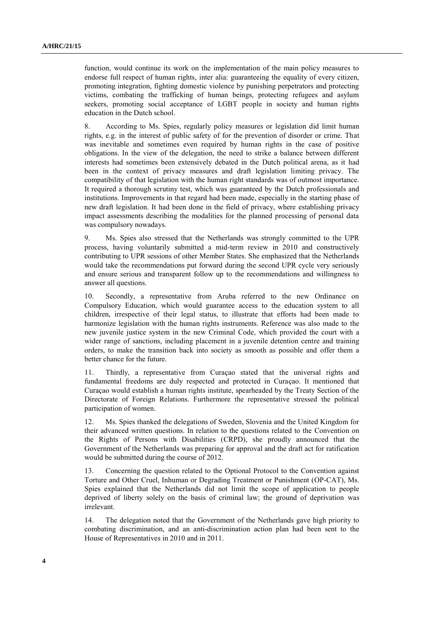function, would continue its work on the implementation of the main policy measures to endorse full respect of human rights, inter alia: guaranteeing the equality of every citizen, promoting integration, fighting domestic violence by punishing perpetrators and protecting victims, combating the trafficking of human beings, protecting refugees and asylum seekers, promoting social acceptance of LGBT people in society and human rights education in the Dutch school.

8. According to Ms. Spies, regularly policy measures or legislation did limit human rights, e.g. in the interest of public safety of for the prevention of disorder or crime. That was inevitable and sometimes even required by human rights in the case of positive obligations. In the view of the delegation, the need to strike a balance between different interests had sometimes been extensively debated in the Dutch political arena, as it had been in the context of privacy measures and draft legislation limiting privacy. The compatibility of that legislation with the human right standards was of outmost importance. It required a thorough scrutiny test, which was guaranteed by the Dutch professionals and institutions. Improvements in that regard had been made, especially in the starting phase of new draft legislation. It had been done in the field of privacy, where establishing privacy impact assessments describing the modalities for the planned processing of personal data was compulsory nowadays.

9. Ms. Spies also stressed that the Netherlands was strongly committed to the UPR process, having voluntarily submitted a mid-term review in 2010 and constructively contributing to UPR sessions of other Member States. She emphasized that the Netherlands would take the recommendations put forward during the second UPR cycle very seriously and ensure serious and transparent follow up to the recommendations and willingness to answer all questions.

10. Secondly, a representative from Aruba referred to the new Ordinance on Compulsory Education, which would guarantee access to the education system to all children, irrespective of their legal status, to illustrate that efforts had been made to harmonize legislation with the human rights instruments. Reference was also made to the new juvenile justice system in the new Criminal Code, which provided the court with a wider range of sanctions, including placement in a juvenile detention centre and training orders, to make the transition back into society as smooth as possible and offer them a better chance for the future.

11. Thirdly, a representative from Curaçao stated that the universal rights and fundamental freedoms are duly respected and protected in Curaçao. It mentioned that Curaçao would establish a human rights institute, spearheaded by the Treaty Section of the Directorate of Foreign Relations. Furthermore the representative stressed the political participation of women.

12. Ms. Spies thanked the delegations of Sweden, Slovenia and the United Kingdom for their advanced written questions. In relation to the questions related to the Convention on the Rights of Persons with Disabilities (CRPD), she proudly announced that the Government of the Netherlands was preparing for approval and the draft act for ratification would be submitted during the course of 2012.

13. Concerning the question related to the Optional Protocol to the Convention against Torture and Other Cruel, Inhuman or Degrading Treatment or Punishment (OP-CAT), Ms. Spies explained that the Netherlands did not limit the scope of application to people deprived of liberty solely on the basis of criminal law; the ground of deprivation was irrelevant.

14. The delegation noted that the Government of the Netherlands gave high priority to combating discrimination, and an anti-discrimination action plan had been sent to the House of Representatives in 2010 and in 2011.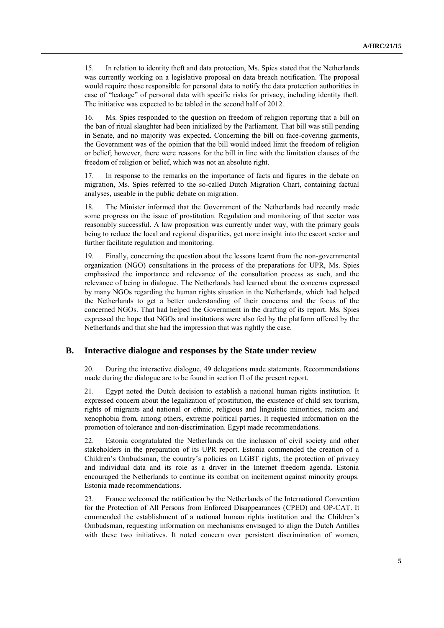15. In relation to identity theft and data protection, Ms. Spies stated that the Netherlands was currently working on a legislative proposal on data breach notification. The proposal would require those responsible for personal data to notify the data protection authorities in case of "leakage" of personal data with specific risks for privacy, including identity theft. The initiative was expected to be tabled in the second half of 2012.

16. Ms. Spies responded to the question on freedom of religion reporting that a bill on the ban of ritual slaughter had been initialized by the Parliament. That bill was still pending in Senate, and no majority was expected. Concerning the bill on face-covering garments, the Government was of the opinion that the bill would indeed limit the freedom of religion or belief; however, there were reasons for the bill in line with the limitation clauses of the freedom of religion or belief, which was not an absolute right.

17. In response to the remarks on the importance of facts and figures in the debate on migration, Ms. Spies referred to the so-called Dutch Migration Chart, containing factual analyses, useable in the public debate on migration.

18. The Minister informed that the Government of the Netherlands had recently made some progress on the issue of prostitution. Regulation and monitoring of that sector was reasonably successful. A law proposition was currently under way, with the primary goals being to reduce the local and regional disparities, get more insight into the escort sector and further facilitate regulation and monitoring.

19. Finally, concerning the question about the lessons learnt from the non-governmental organization (NGO) consultations in the process of the preparations for UPR, Ms. Spies emphasized the importance and relevance of the consultation process as such, and the relevance of being in dialogue. The Netherlands had learned about the concerns expressed by many NGOs regarding the human rights situation in the Netherlands, which had helped the Netherlands to get a better understanding of their concerns and the focus of the concerned NGOs. That had helped the Government in the drafting of its report. Ms. Spies expressed the hope that NGOs and institutions were also fed by the platform offered by the Netherlands and that she had the impression that was rightly the case.

### **B. Interactive dialogue and responses by the State under review**

20. During the interactive dialogue, 49 delegations made statements. Recommendations made during the dialogue are to be found in section II of the present report.

21. Egypt noted the Dutch decision to establish a national human rights institution. It expressed concern about the legalization of prostitution, the existence of child sex tourism, rights of migrants and national or ethnic, religious and linguistic minorities, racism and xenophobia from, among others, extreme political parties. It requested information on the promotion of tolerance and non-discrimination. Egypt made recommendations.

22. Estonia congratulated the Netherlands on the inclusion of civil society and other stakeholders in the preparation of its UPR report. Estonia commended the creation of a Children's Ombudsman, the country's policies on LGBT rights, the protection of privacy and individual data and its role as a driver in the Internet freedom agenda. Estonia encouraged the Netherlands to continue its combat on incitement against minority groups. Estonia made recommendations.

23. France welcomed the ratification by the Netherlands of the International Convention for the Protection of All Persons from Enforced Disappearances (CPED) and OP-CAT. It commended the establishment of a national human rights institution and the Children's Ombudsman, requesting information on mechanisms envisaged to align the Dutch Antilles with these two initiatives. It noted concern over persistent discrimination of women,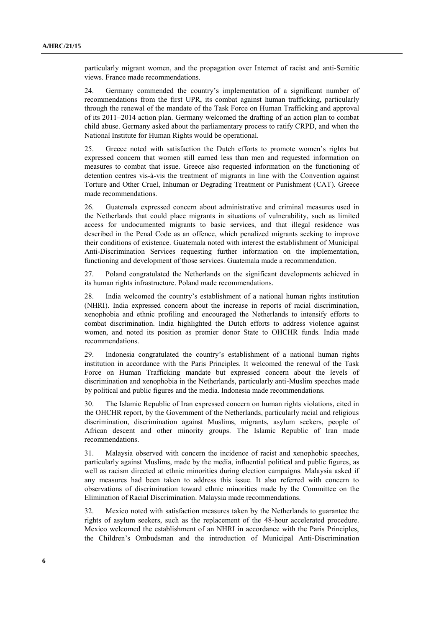particularly migrant women, and the propagation over Internet of racist and anti-Semitic views. France made recommendations.

24. Germany commended the country's implementation of a significant number of recommendations from the first UPR, its combat against human trafficking, particularly through the renewal of the mandate of the Task Force on Human Trafficking and approval of its 2011–2014 action plan. Germany welcomed the drafting of an action plan to combat child abuse. Germany asked about the parliamentary process to ratify CRPD, and when the National Institute for Human Rights would be operational.

25. Greece noted with satisfaction the Dutch efforts to promote women's rights but expressed concern that women still earned less than men and requested information on measures to combat that issue. Greece also requested information on the functioning of detention centres vis-à-vis the treatment of migrants in line with the Convention against Torture and Other Cruel, Inhuman or Degrading Treatment or Punishment (CAT). Greece made recommendations.

26. Guatemala expressed concern about administrative and criminal measures used in the Netherlands that could place migrants in situations of vulnerability, such as limited access for undocumented migrants to basic services, and that illegal residence was described in the Penal Code as an offence, which penalized migrants seeking to improve their conditions of existence. Guatemala noted with interest the establishment of Municipal Anti-Discrimination Services requesting further information on the implementation, functioning and development of those services. Guatemala made a recommendation.

27. Poland congratulated the Netherlands on the significant developments achieved in its human rights infrastructure. Poland made recommendations.

28. India welcomed the country's establishment of a national human rights institution (NHRI). India expressed concern about the increase in reports of racial discrimination, xenophobia and ethnic profiling and encouraged the Netherlands to intensify efforts to combat discrimination. India highlighted the Dutch efforts to address violence against women, and noted its position as premier donor State to OHCHR funds. India made recommendations.

29. Indonesia congratulated the country's establishment of a national human rights institution in accordance with the Paris Principles. It welcomed the renewal of the Task Force on Human Trafficking mandate but expressed concern about the levels of discrimination and xenophobia in the Netherlands, particularly anti-Muslim speeches made by political and public figures and the media. Indonesia made recommendations.

30. The Islamic Republic of Iran expressed concern on human rights violations, cited in the OHCHR report, by the Government of the Netherlands, particularly racial and religious discrimination, discrimination against Muslims, migrants, asylum seekers, people of African descent and other minority groups. The Islamic Republic of Iran made recommendations.

31. Malaysia observed with concern the incidence of racist and xenophobic speeches, particularly against Muslims, made by the media, influential political and public figures, as well as racism directed at ethnic minorities during election campaigns. Malaysia asked if any measures had been taken to address this issue. It also referred with concern to observations of discrimination toward ethnic minorities made by the Committee on the Elimination of Racial Discrimination. Malaysia made recommendations.

32. Mexico noted with satisfaction measures taken by the Netherlands to guarantee the rights of asylum seekers, such as the replacement of the 48-hour accelerated procedure. Mexico welcomed the establishment of an NHRI in accordance with the Paris Principles, the Children's Ombudsman and the introduction of Municipal Anti-Discrimination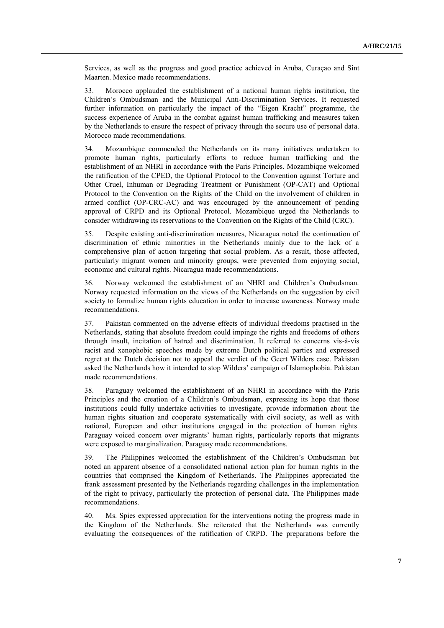Services, as well as the progress and good practice achieved in Aruba, Curaçao and Sint Maarten. Mexico made recommendations.

33. Morocco applauded the establishment of a national human rights institution, the Children's Ombudsman and the Municipal Anti-Discrimination Services. It requested further information on particularly the impact of the "Eigen Kracht" programme, the success experience of Aruba in the combat against human trafficking and measures taken by the Netherlands to ensure the respect of privacy through the secure use of personal data. Morocco made recommendations.

34. Mozambique commended the Netherlands on its many initiatives undertaken to promote human rights, particularly efforts to reduce human trafficking and the establishment of an NHRI in accordance with the Paris Principles. Mozambique welcomed the ratification of the CPED, the Optional Protocol to the Convention against Torture and Other Cruel, Inhuman or Degrading Treatment or Punishment (OP-CAT) and Optional Protocol to the Convention on the Rights of the Child on the involvement of children in armed conflict (OP-CRC-AC) and was encouraged by the announcement of pending approval of CRPD and its Optional Protocol. Mozambique urged the Netherlands to consider withdrawing its reservations to the Convention on the Rights of the Child (CRC).

35. Despite existing anti-discrimination measures, Nicaragua noted the continuation of discrimination of ethnic minorities in the Netherlands mainly due to the lack of a comprehensive plan of action targeting that social problem. As a result, those affected, particularly migrant women and minority groups, were prevented from enjoying social, economic and cultural rights. Nicaragua made recommendations.

36. Norway welcomed the establishment of an NHRI and Children's Ombudsman. Norway requested information on the views of the Netherlands on the suggestion by civil society to formalize human rights education in order to increase awareness. Norway made recommendations.

37. Pakistan commented on the adverse effects of individual freedoms practised in the Netherlands, stating that absolute freedom could impinge the rights and freedoms of others through insult, incitation of hatred and discrimination. It referred to concerns vis-à-vis racist and xenophobic speeches made by extreme Dutch political parties and expressed regret at the Dutch decision not to appeal the verdict of the Geert Wilders case. Pakistan asked the Netherlands how it intended to stop Wilders' campaign of Islamophobia. Pakistan made recommendations.

38. Paraguay welcomed the establishment of an NHRI in accordance with the Paris Principles and the creation of a Children's Ombudsman, expressing its hope that those institutions could fully undertake activities to investigate, provide information about the human rights situation and cooperate systematically with civil society, as well as with national, European and other institutions engaged in the protection of human rights. Paraguay voiced concern over migrants' human rights, particularly reports that migrants were exposed to marginalization. Paraguay made recommendations.

39. The Philippines welcomed the establishment of the Children's Ombudsman but noted an apparent absence of a consolidated national action plan for human rights in the countries that comprised the Kingdom of Netherlands. The Philippines appreciated the frank assessment presented by the Netherlands regarding challenges in the implementation of the right to privacy, particularly the protection of personal data. The Philippines made recommendations.

40. Ms. Spies expressed appreciation for the interventions noting the progress made in the Kingdom of the Netherlands. She reiterated that the Netherlands was currently evaluating the consequences of the ratification of CRPD. The preparations before the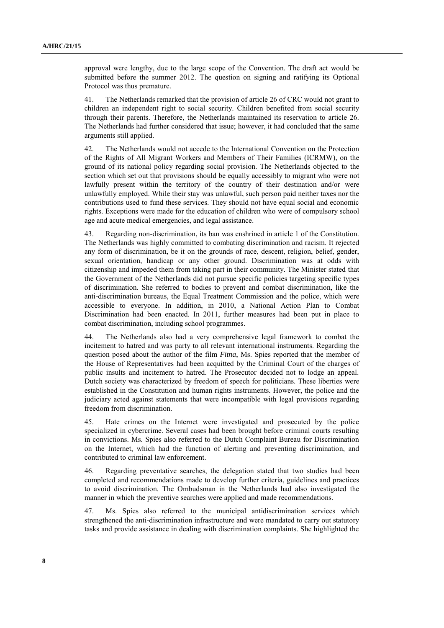approval were lengthy, due to the large scope of the Convention. The draft act would be submitted before the summer 2012. The question on signing and ratifying its Optional Protocol was thus premature.

41. The Netherlands remarked that the provision of article 26 of CRC would not grant to children an independent right to social security. Children benefited from social security through their parents. Therefore, the Netherlands maintained its reservation to article 26. The Netherlands had further considered that issue; however, it had concluded that the same arguments still applied.

42. The Netherlands would not accede to the International Convention on the Protection of the Rights of All Migrant Workers and Members of Their Families (ICRMW), on the ground of its national policy regarding social provision. The Netherlands objected to the section which set out that provisions should be equally accessibly to migrant who were not lawfully present within the territory of the country of their destination and/or were unlawfully employed. While their stay was unlawful, such person paid neither taxes nor the contributions used to fund these services. They should not have equal social and economic rights. Exceptions were made for the education of children who were of compulsory school age and acute medical emergencies, and legal assistance.

43. Regarding non-discrimination, its ban was enshrined in article 1 of the Constitution. The Netherlands was highly committed to combating discrimination and racism. It rejected any form of discrimination, be it on the grounds of race, descent, religion, belief, gender, sexual orientation, handicap or any other ground. Discrimination was at odds with citizenship and impeded them from taking part in their community. The Minister stated that the Government of the Netherlands did not pursue specific policies targeting specific types of discrimination. She referred to bodies to prevent and combat discrimination, like the anti-discrimination bureaus, the Equal Treatment Commission and the police, which were accessible to everyone. In addition, in 2010, a National Action Plan to Combat Discrimination had been enacted. In 2011, further measures had been put in place to combat discrimination, including school programmes.

44. The Netherlands also had a very comprehensive legal framework to combat the incitement to hatred and was party to all relevant international instruments. Regarding the question posed about the author of the film *Fitna*, Ms. Spies reported that the member of the House of Representatives had been acquitted by the Criminal Court of the charges of public insults and incitement to hatred. The Prosecutor decided not to lodge an appeal. Dutch society was characterized by freedom of speech for politicians. These liberties were established in the Constitution and human rights instruments. However, the police and the judiciary acted against statements that were incompatible with legal provisions regarding freedom from discrimination.

45. Hate crimes on the Internet were investigated and prosecuted by the police specialized in cybercrime. Several cases had been brought before criminal courts resulting in convictions. Ms. Spies also referred to the Dutch Complaint Bureau for Discrimination on the Internet, which had the function of alerting and preventing discrimination, and contributed to criminal law enforcement.

46. Regarding preventative searches, the delegation stated that two studies had been completed and recommendations made to develop further criteria, guidelines and practices to avoid discrimination. The Ombudsman in the Netherlands had also investigated the manner in which the preventive searches were applied and made recommendations.

47. Ms. Spies also referred to the municipal antidiscrimination services which strengthened the anti-discrimination infrastructure and were mandated to carry out statutory tasks and provide assistance in dealing with discrimination complaints. She highlighted the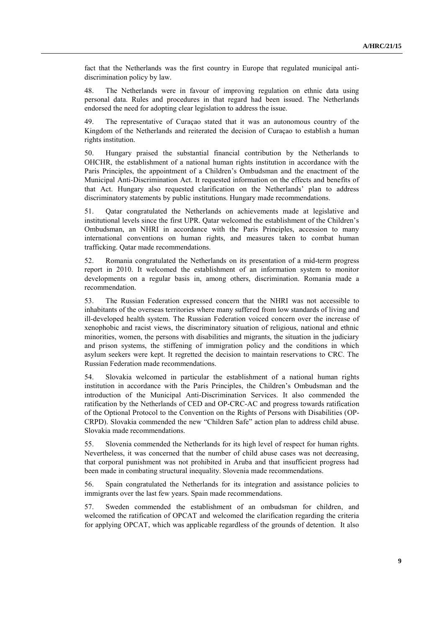fact that the Netherlands was the first country in Europe that regulated municipal antidiscrimination policy by law.

48. The Netherlands were in favour of improving regulation on ethnic data using personal data. Rules and procedures in that regard had been issued. The Netherlands endorsed the need for adopting clear legislation to address the issue.

49. The representative of Curaçao stated that it was an autonomous country of the Kingdom of the Netherlands and reiterated the decision of Curaçao to establish a human rights institution.

50. Hungary praised the substantial financial contribution by the Netherlands to OHCHR, the establishment of a national human rights institution in accordance with the Paris Principles, the appointment of a Children's Ombudsman and the enactment of the Municipal Anti-Discrimination Act. It requested information on the effects and benefits of that Act. Hungary also requested clarification on the Netherlands' plan to address discriminatory statements by public institutions. Hungary made recommendations.

51. Qatar congratulated the Netherlands on achievements made at legislative and institutional levels since the first UPR. Qatar welcomed the establishment of the Children's Ombudsman, an NHRI in accordance with the Paris Principles, accession to many international conventions on human rights, and measures taken to combat human trafficking. Qatar made recommendations.

52. Romania congratulated the Netherlands on its presentation of a mid-term progress report in 2010. It welcomed the establishment of an information system to monitor developments on a regular basis in, among others, discrimination. Romania made a recommendation.

53. The Russian Federation expressed concern that the NHRI was not accessible to inhabitants of the overseas territories where many suffered from low standards of living and ill-developed health system. The Russian Federation voiced concern over the increase of xenophobic and racist views, the discriminatory situation of religious, national and ethnic minorities, women, the persons with disabilities and migrants, the situation in the judiciary and prison systems, the stiffening of immigration policy and the conditions in which asylum seekers were kept. It regretted the decision to maintain reservations to CRC. The Russian Federation made recommendations.

54. Slovakia welcomed in particular the establishment of a national human rights institution in accordance with the Paris Principles, the Children's Ombudsman and the introduction of the Municipal Anti-Discrimination Services. It also commended the ratification by the Netherlands of CED and OP-CRC-AC and progress towards ratification of the Optional Protocol to the Convention on the Rights of Persons with Disabilities (OP-CRPD). Slovakia commended the new "Children Safe" action plan to address child abuse. Slovakia made recommendations.

55. Slovenia commended the Netherlands for its high level of respect for human rights. Nevertheless, it was concerned that the number of child abuse cases was not decreasing, that corporal punishment was not prohibited in Aruba and that insufficient progress had been made in combating structural inequality. Slovenia made recommendations.

56. Spain congratulated the Netherlands for its integration and assistance policies to immigrants over the last few years. Spain made recommendations.

57. Sweden commended the establishment of an ombudsman for children, and welcomed the ratification of OPCAT and welcomed the clarification regarding the criteria for applying OPCAT, which was applicable regardless of the grounds of detention. It also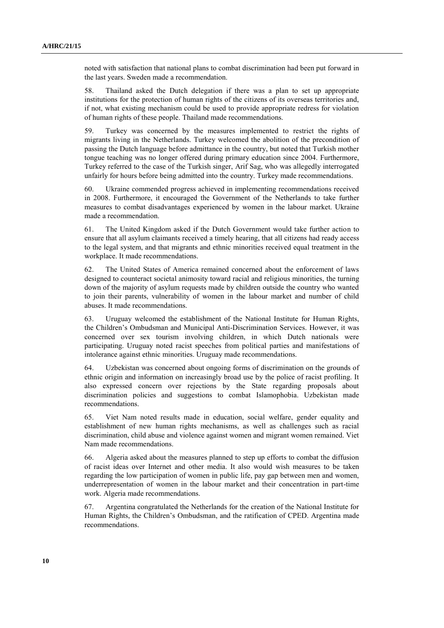noted with satisfaction that national plans to combat discrimination had been put forward in the last years. Sweden made a recommendation.

58. Thailand asked the Dutch delegation if there was a plan to set up appropriate institutions for the protection of human rights of the citizens of its overseas territories and, if not, what existing mechanism could be used to provide appropriate redress for violation of human rights of these people. Thailand made recommendations.

59. Turkey was concerned by the measures implemented to restrict the rights of migrants living in the Netherlands. Turkey welcomed the abolition of the precondition of passing the Dutch language before admittance in the country, but noted that Turkish mother tongue teaching was no longer offered during primary education since 2004. Furthermore, Turkey referred to the case of the Turkish singer, Arif Sag, who was allegedly interrogated unfairly for hours before being admitted into the country. Turkey made recommendations.

60. Ukraine commended progress achieved in implementing recommendations received in 2008. Furthermore, it encouraged the Government of the Netherlands to take further measures to combat disadvantages experienced by women in the labour market. Ukraine made a recommendation.

61. The United Kingdom asked if the Dutch Government would take further action to ensure that all asylum claimants received a timely hearing, that all citizens had ready access to the legal system, and that migrants and ethnic minorities received equal treatment in the workplace. It made recommendations.

62. The United States of America remained concerned about the enforcement of laws designed to counteract societal animosity toward racial and religious minorities, the turning down of the majority of asylum requests made by children outside the country who wanted to join their parents, vulnerability of women in the labour market and number of child abuses. It made recommendations.

63. Uruguay welcomed the establishment of the National Institute for Human Rights, the Children's Ombudsman and Municipal Anti-Discrimination Services. However, it was concerned over sex tourism involving children, in which Dutch nationals were participating. Uruguay noted racist speeches from political parties and manifestations of intolerance against ethnic minorities. Uruguay made recommendations.

64. Uzbekistan was concerned about ongoing forms of discrimination on the grounds of ethnic origin and information on increasingly broad use by the police of racist profiling. It also expressed concern over rejections by the State regarding proposals about discrimination policies and suggestions to combat Islamophobia. Uzbekistan made recommendations.

65. Viet Nam noted results made in education, social welfare, gender equality and establishment of new human rights mechanisms, as well as challenges such as racial discrimination, child abuse and violence against women and migrant women remained. Viet Nam made recommendations.

66. Algeria asked about the measures planned to step up efforts to combat the diffusion of racist ideas over Internet and other media. It also would wish measures to be taken regarding the low participation of women in public life, pay gap between men and women, underrepresentation of women in the labour market and their concentration in part-time work. Algeria made recommendations.

67. Argentina congratulated the Netherlands for the creation of the National Institute for Human Rights, the Children's Ombudsman, and the ratification of CPED. Argentina made recommendations.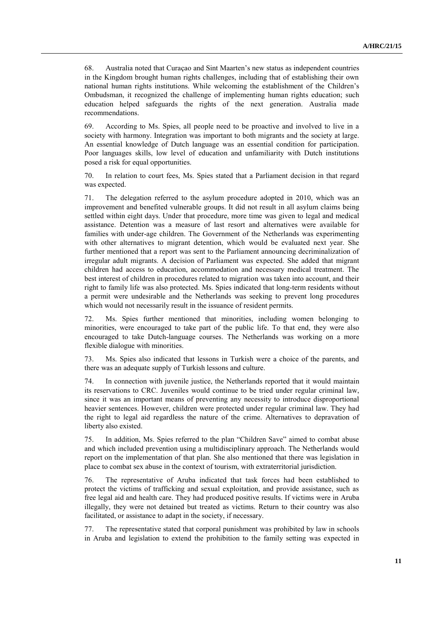68. Australia noted that Curaçao and Sint Maarten's new status as independent countries in the Kingdom brought human rights challenges, including that of establishing their own national human rights institutions. While welcoming the establishment of the Children's Ombudsman, it recognized the challenge of implementing human rights education; such education helped safeguards the rights of the next generation. Australia made recommendations.

69. According to Ms. Spies, all people need to be proactive and involved to live in a society with harmony. Integration was important to both migrants and the society at large. An essential knowledge of Dutch language was an essential condition for participation. Poor languages skills, low level of education and unfamiliarity with Dutch institutions posed a risk for equal opportunities.

70. In relation to court fees, Ms. Spies stated that a Parliament decision in that regard was expected.

71. The delegation referred to the asylum procedure adopted in 2010, which was an improvement and benefited vulnerable groups. It did not result in all asylum claims being settled within eight days. Under that procedure, more time was given to legal and medical assistance. Detention was a measure of last resort and alternatives were available for families with under-age children. The Government of the Netherlands was experimenting with other alternatives to migrant detention, which would be evaluated next year. She further mentioned that a report was sent to the Parliament announcing decriminalization of irregular adult migrants. A decision of Parliament was expected. She added that migrant children had access to education, accommodation and necessary medical treatment. The best interest of children in procedures related to migration was taken into account, and their right to family life was also protected. Ms. Spies indicated that long-term residents without a permit were undesirable and the Netherlands was seeking to prevent long procedures which would not necessarily result in the issuance of resident permits.

72. Ms. Spies further mentioned that minorities, including women belonging to minorities, were encouraged to take part of the public life. To that end, they were also encouraged to take Dutch-language courses. The Netherlands was working on a more flexible dialogue with minorities.

73. Ms. Spies also indicated that lessons in Turkish were a choice of the parents, and there was an adequate supply of Turkish lessons and culture.

74. In connection with juvenile justice, the Netherlands reported that it would maintain its reservations to CRC. Juveniles would continue to be tried under regular criminal law, since it was an important means of preventing any necessity to introduce disproportional heavier sentences. However, children were protected under regular criminal law. They had the right to legal aid regardless the nature of the crime. Alternatives to depravation of liberty also existed.

75. In addition, Ms. Spies referred to the plan "Children Save" aimed to combat abuse and which included prevention using a multidisciplinary approach. The Netherlands would report on the implementation of that plan. She also mentioned that there was legislation in place to combat sex abuse in the context of tourism, with extraterritorial jurisdiction.

76. The representative of Aruba indicated that task forces had been established to protect the victims of trafficking and sexual exploitation, and provide assistance, such as free legal aid and health care. They had produced positive results. If victims were in Aruba illegally, they were not detained but treated as victims. Return to their country was also facilitated, or assistance to adapt in the society, if necessary.

77. The representative stated that corporal punishment was prohibited by law in schools in Aruba and legislation to extend the prohibition to the family setting was expected in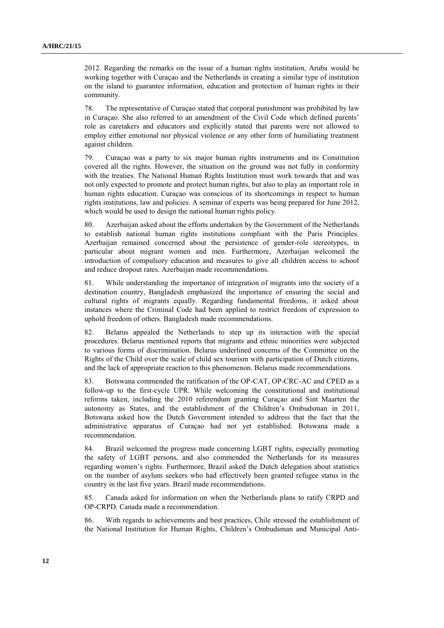2012. Regarding the remarks on the issue of a human rights institution, Aruba would be working together with Curaçao and the Netherlands in creating a similar type of institution on the island to guarantee information, education and protection of human rights in their community.

78. The representative of Curaçao stated that corporal punishment was prohibited by law in Curaçao. She also referred to an amendment of the Civil Code which defined parents' role as caretakers and educators and explicitly stated that parents were not allowed to employ either emotional nor physical violence or any other form of humiliating treatment against children.

79. Curaçao was a party to six major human rights instruments and its Constitution covered all the rights. However, the situation on the ground was not fully in conformity with the treaties. The National Human Rights Institution must work towards that and was not only expected to promote and protect human rights, but also to play an important role in human rights education. Curaçao was conscious of its shortcomings in respect to human rights institutions, law and policies. A seminar of experts was being prepared for June 2012, which would be used to design the national human rights policy.

80. Azerbaijan asked about the efforts undertaken by the Government of the Netherlands to establish national human rights institutions compliant with the Paris Principles. Azerbaijan remained concerned about the persistence of gender-role stereotypes, in particular about migrant women and men. Furthermore, Azerbaijan welcomed the introduction of compulsory education and measures to give all children access to school and reduce dropout rates. Azerbaijan made recommendations.

81. While understanding the importance of integration of migrants into the society of a destination country, Bangladesh emphasized the importance of ensuring the social and cultural rights of migrants equally. Regarding fundamental freedoms, it asked about instances where the Criminal Code had been applied to restrict freedom of expression to uphold freedom of others. Bangladesh made recommendations.

82. Belarus appealed the Netherlands to step up its interaction with the special procedures. Belarus mentioned reports that migrants and ethnic minorities were subjected to various forms of discrimination. Belarus underlined concerns of the Committee on the Rights of the Child over the scale of child sex tourism with participation of Dutch citizens, and the lack of appropriate reaction to this phenomenon. Belarus made recommendations.

83. Botswana commended the ratification of the OP-CAT, OP-CRC-AC and CPED as a follow-up to the first-cycle UPR. While welcoming the constitutional and institutional reforms taken, including the 2010 referendum granting Curaçao and Sint Maarten the autonomy as States, and the establishment of the Children's Ombudsman in 2011, Botswana asked how the Dutch Government intended to address that the fact that the administrative apparatus of Curaçao had not yet established. Botswana made a recommendation.

84. Brazil welcomed the progress made concerning LGBT rights, especially promoting the safety of LGBT persons, and also commended the Netherlands for its measures regarding women's rights. Furthermore, Brazil asked the Dutch delegation about statistics on the number of asylum seekers who had effectively been granted refugee status in the country in the last five years. Brazil made recommendations.

85. Canada asked for information on when the Netherlands plans to ratify CRPD and OP-CRPD. Canada made a recommendation.

86. With regards to achievements and best practices, Chile stressed the establishment of the National Institution for Human Rights, Children's Ombudsman and Municipal Anti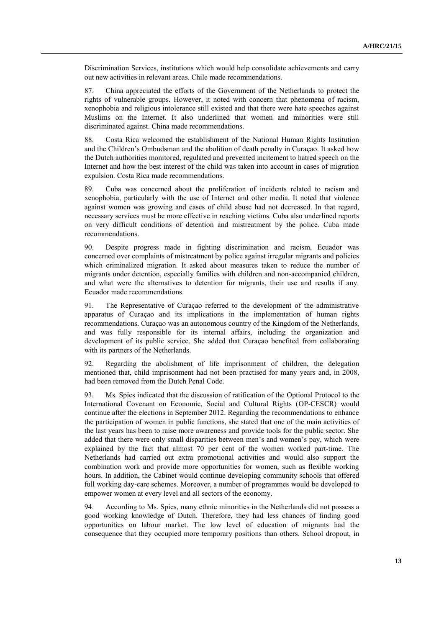Discrimination Services, institutions which would help consolidate achievements and carry out new activities in relevant areas. Chile made recommendations.

87. China appreciated the efforts of the Government of the Netherlands to protect the rights of vulnerable groups. However, it noted with concern that phenomena of racism, xenophobia and religious intolerance still existed and that there were hate speeches against Muslims on the Internet. It also underlined that women and minorities were still discriminated against. China made recommendations.

88. Costa Rica welcomed the establishment of the National Human Rights Institution and the Children's Ombudsman and the abolition of death penalty in Curaçao. It asked how the Dutch authorities monitored, regulated and prevented incitement to hatred speech on the Internet and how the best interest of the child was taken into account in cases of migration expulsion. Costa Rica made recommendations.

89. Cuba was concerned about the proliferation of incidents related to racism and xenophobia, particularly with the use of Internet and other media. It noted that violence against women was growing and cases of child abuse had not decreased. In that regard, necessary services must be more effective in reaching victims. Cuba also underlined reports on very difficult conditions of detention and mistreatment by the police. Cuba made recommendations.

90. Despite progress made in fighting discrimination and racism, Ecuador was concerned over complaints of mistreatment by police against irregular migrants and policies which criminalized migration. It asked about measures taken to reduce the number of migrants under detention, especially families with children and non-accompanied children, and what were the alternatives to detention for migrants, their use and results if any. Ecuador made recommendations.

91. The Representative of Curaçao referred to the development of the administrative apparatus of Curaçao and its implications in the implementation of human rights recommendations. Curaçao was an autonomous country of the Kingdom of the Netherlands, and was fully responsible for its internal affairs, including the organization and development of its public service. She added that Curaçao benefited from collaborating with its partners of the Netherlands.

92. Regarding the abolishment of life imprisonment of children, the delegation mentioned that, child imprisonment had not been practised for many years and, in 2008, had been removed from the Dutch Penal Code.

93. Ms. Spies indicated that the discussion of ratification of the Optional Protocol to the International Covenant on Economic, Social and Cultural Rights (OP-CESCR) would continue after the elections in September 2012. Regarding the recommendations to enhance the participation of women in public functions, she stated that one of the main activities of the last years has been to raise more awareness and provide tools for the public sector. She added that there were only small disparities between men's and women's pay, which were explained by the fact that almost 70 per cent of the women worked part-time. The Netherlands had carried out extra promotional activities and would also support the combination work and provide more opportunities for women, such as flexible working hours. In addition, the Cabinet would continue developing community schools that offered full working day-care schemes. Moreover, a number of programmes would be developed to empower women at every level and all sectors of the economy.

94. According to Ms. Spies, many ethnic minorities in the Netherlands did not possess a good working knowledge of Dutch. Therefore, they had less chances of finding good opportunities on labour market. The low level of education of migrants had the consequence that they occupied more temporary positions than others. School dropout, in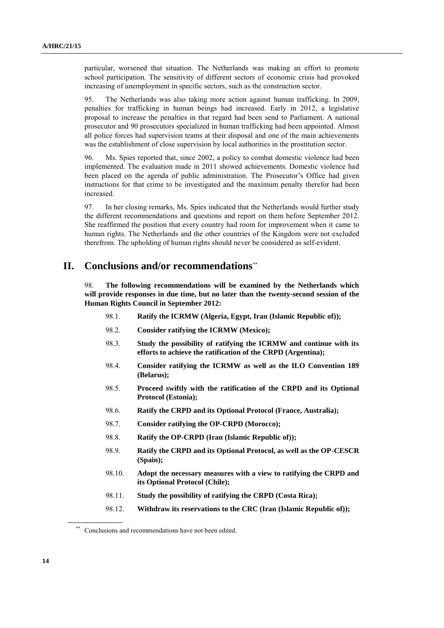particular, worsened that situation. The Netherlands was making an effort to promote school participation. The sensitivity of different sectors of economic crisis had provoked increasing of unemployment in specific sectors, such as the construction sector.

95. The Netherlands was also taking more action against human trafficking. In 2009, penalties for trafficking in human beings had increased. Early in 2012, a legislative proposal to increase the penalties in that regard had been send to Parliament. A national prosecutor and 90 prosecutors specialized in human trafficking had been appointed. Almost all police forces had supervision teams at their disposal and one of the main achievements was the establishment of close supervision by local authorities in the prostitution sector.

96. Ms. Spies reported that, since 2002, a policy to combat domestic violence had been implemented. The evaluation made in 2011 showed achievements. Domestic violence had been placed on the agenda of public administration. The Prosecutor's Office had given instructions for that crime to be investigated and the maximum penalty therefor had been increased.

97. In her closing remarks, Ms. Spies indicated that the Netherlands would further study the different recommendations and questions and report on them before September 2012. She reaffirmed the position that every country had room for improvement when it came to human rights. The Netherlands and the other countries of the Kingdom were not excluded therefrom. The upholding of human rights should never be considered as self-evident.

## **II. Conclusions and/or recommendations**\*\*

98. **The following recommendations will be examined by the Netherlands which will provide responses in due time, but no later than the twenty-second session of the Human Rights Council in September 2012:**

- 98.1. **Ratify the ICRMW (Algeria, Egypt, Iran (Islamic Republic of));**
- 98.2. **Consider ratifying the ICRMW (Mexico);**
- 98.3. **Study the possibility of ratifying the ICRMW and continue with its efforts to achieve the ratification of the CRPD (Argentina);**
- 98.4. **Consider ratifying the ICRMW as well as the ILO Convention 189 (Belarus);**
- 98.5. **Proceed swiftly with the ratification of the CRPD and its Optional Protocol (Estonia);**
- 98.6. **Ratify the CRPD and its Optional Protocol (France, Australia);**
- 98.7. **Consider ratifying the OP-CRPD (Morocco);**
- 98.8. **Ratify the OP-CRPD (Iran (Islamic Republic of));**
- 98.9. **Ratify the CRPD and its Optional Protocol, as well as the OP-CESCR (Spain);**
- 98.10. **Adopt the necessary measures with a view to ratifying the CRPD and its Optional Protocol (Chile);**
- 98.11. **Study the possibility of ratifying the CRPD (Costa Rica);**
- 98.12. **Withdraw its reservations to the CRC (Iran (Islamic Republic of));**

<sup>\*\*</sup> Conclusions and recommendations have not been edited.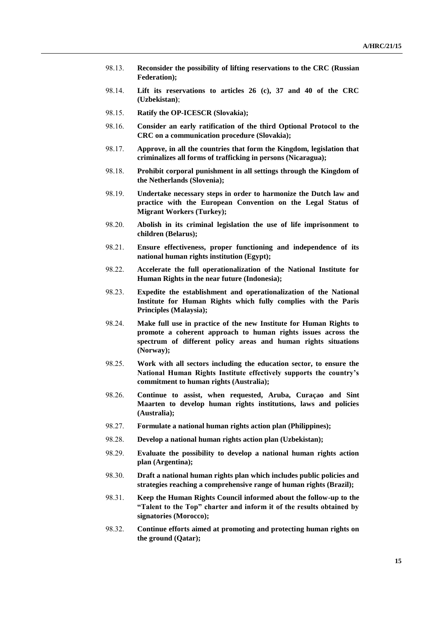- 98.13. **Reconsider the possibility of lifting reservations to the CRC (Russian Federation);**
- 98.14. **Lift its reservations to articles 26 (c), 37 and 40 of the CRC (Uzbekistan)**;
- 98.15. **Ratify the OP-ICESCR (Slovakia);**
- 98.16. **Consider an early ratification of the third Optional Protocol to the CRC on a communication procedure (Slovakia);**
- 98.17. **Approve, in all the countries that form the Kingdom, legislation that criminalizes all forms of trafficking in persons (Nicaragua);**
- 98.18. **Prohibit corporal punishment in all settings through the Kingdom of the Netherlands (Slovenia);**
- 98.19. **Undertake necessary steps in order to harmonize the Dutch law and practice with the European Convention on the Legal Status of Migrant Workers (Turkey);**
- 98.20. **Abolish in its criminal legislation the use of life imprisonment to children (Belarus);**
- 98.21. **Ensure effectiveness, proper functioning and independence of its national human rights institution (Egypt);**
- 98.22. **Accelerate the full operationalization of the National Institute for Human Rights in the near future (Indonesia);**
- 98.23. **Expedite the establishment and operationalization of the National Institute for Human Rights which fully complies with the Paris Principles (Malaysia);**
- 98.24. **Make full use in practice of the new Institute for Human Rights to promote a coherent approach to human rights issues across the spectrum of different policy areas and human rights situations (Norway);**
- 98.25. **Work with all sectors including the education sector, to ensure the National Human Rights Institute effectively supports the country's commitment to human rights (Australia);**
- 98.26. **Continue to assist, when requested, Aruba, Curaçao and Sint Maarten to develop human rights institutions, laws and policies (Australia);**
- 98.27. **Formulate a national human rights action plan (Philippines);**
- 98.28. **Develop a national human rights action plan (Uzbekistan);**
- 98.29. **Evaluate the possibility to develop a national human rights action plan (Argentina);**
- 98.30. **Draft a national human rights plan which includes public policies and strategies reaching a comprehensive range of human rights (Brazil);**
- 98.31. **Keep the Human Rights Council informed about the follow-up to the "Talent to the Top" charter and inform it of the results obtained by signatories (Morocco);**
- 98.32. **Continue efforts aimed at promoting and protecting human rights on the ground (Qatar);**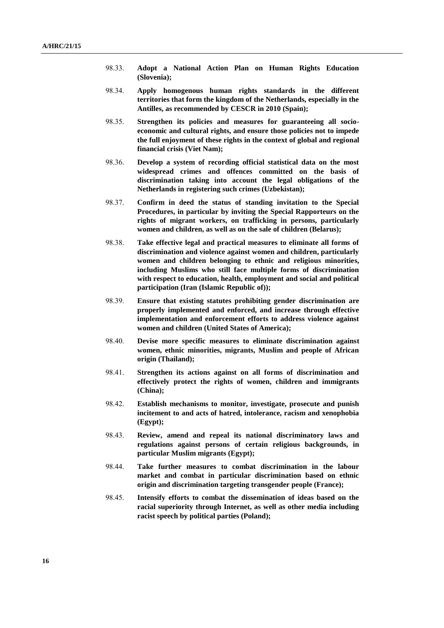- 98.33. **Adopt a National Action Plan on Human Rights Education (Slovenia);**
- 98.34. **Apply homogenous human rights standards in the different territories that form the kingdom of the Netherlands, especially in the Antilles, as recommended by CESCR in 2010 (Spain);**
- 98.35. **Strengthen its policies and measures for guaranteeing all socioeconomic and cultural rights, and ensure those policies not to impede the full enjoyment of these rights in the context of global and regional financial crisis (Viet Nam);**
- 98.36. **Develop a system of recording official statistical data on the most widespread crimes and offences committed on the basis of discrimination taking into account the legal obligations of the Netherlands in registering such crimes (Uzbekistan);**
- 98.37. **Confirm in deed the status of standing invitation to the Special Procedures, in particular by inviting the Special Rapporteurs on the rights of migrant workers, on trafficking in persons, particularly women and children, as well as on the sale of children (Belarus);**
- 98.38. **Take effective legal and practical measures to eliminate all forms of discrimination and violence against women and children, particularly women and children belonging to ethnic and religious minorities, including Muslims who still face multiple forms of discrimination with respect to education, health, employment and social and political participation (Iran (Islamic Republic of));**
- 98.39. **Ensure that existing statutes prohibiting gender discrimination are properly implemented and enforced, and increase through effective implementation and enforcement efforts to address violence against women and children (United States of America);**
- 98.40. **Devise more specific measures to eliminate discrimination against women, ethnic minorities, migrants, Muslim and people of African origin (Thailand);**
- 98.41. **Strengthen its actions against on all forms of discrimination and effectively protect the rights of women, children and immigrants (China);**
- 98.42. **Establish mechanisms to monitor, investigate, prosecute and punish incitement to and acts of hatred, intolerance, racism and xenophobia (Egypt);**
- 98.43. **Review, amend and repeal its national discriminatory laws and regulations against persons of certain religious backgrounds, in particular Muslim migrants (Egypt);**
- 98.44. **Take further measures to combat discrimination in the labour market and combat in particular discrimination based on ethnic origin and discrimination targeting transgender people (France);**
- 98.45. **Intensify efforts to combat the dissemination of ideas based on the racial superiority through Internet, as well as other media including racist speech by political parties (Poland);**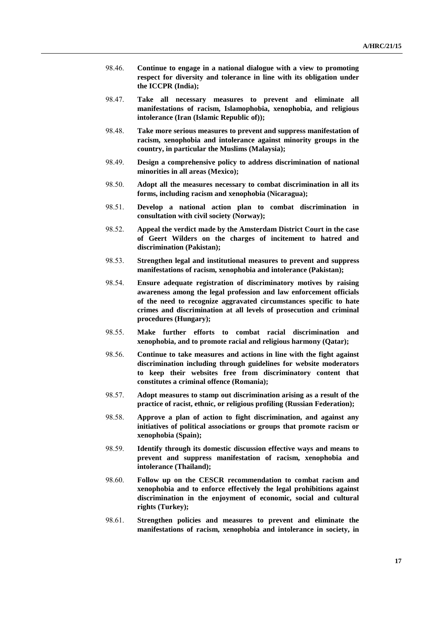- 98.46. **Continue to engage in a national dialogue with a view to promoting respect for diversity and tolerance in line with its obligation under the ICCPR (India);**
- 98.47. **Take all necessary measures to prevent and eliminate all manifestations of racism, Islamophobia, xenophobia, and religious intolerance (Iran (Islamic Republic of));**
- 98.48. **Take more serious measures to prevent and suppress manifestation of racism, xenophobia and intolerance against minority groups in the country, in particular the Muslims (Malaysia);**
- 98.49. **Design a comprehensive policy to address discrimination of national minorities in all areas (Mexico);**
- 98.50. **Adopt all the measures necessary to combat discrimination in all its forms, including racism and xenophobia (Nicaragua);**
- 98.51. **Develop a national action plan to combat discrimination in consultation with civil society (Norway);**
- 98.52. **Appeal the verdict made by the Amsterdam District Court in the case of Geert Wilders on the charges of incitement to hatred and discrimination (Pakistan);**
- 98.53. **Strengthen legal and institutional measures to prevent and suppress manifestations of racism, xenophobia and intolerance (Pakistan);**
- 98.54. **Ensure adequate registration of discriminatory motives by raising awareness among the legal profession and law enforcement officials of the need to recognize aggravated circumstances specific to hate crimes and discrimination at all levels of prosecution and criminal procedures (Hungary);**
- 98.55. **Make further efforts to combat racial discrimination and xenophobia, and to promote racial and religious harmony (Qatar);**
- 98.56. **Continue to take measures and actions in line with the fight against discrimination including through guidelines for website moderators to keep their websites free from discriminatory content that constitutes a criminal offence (Romania);**
- 98.57. **Adopt measures to stamp out discrimination arising as a result of the practice of racist, ethnic, or religious profiling (Russian Federation);**
- 98.58. **Approve a plan of action to fight discrimination, and against any initiatives of political associations or groups that promote racism or xenophobia (Spain);**
- 98.59. **Identify through its domestic discussion effective ways and means to prevent and suppress manifestation of racism, xenophobia and intolerance (Thailand);**
- 98.60. **Follow up on the CESCR recommendation to combat racism and xenophobia and to enforce effectively the legal prohibitions against discrimination in the enjoyment of economic, social and cultural rights (Turkey);**
- 98.61. **Strengthen policies and measures to prevent and eliminate the manifestations of racism, xenophobia and intolerance in society, in**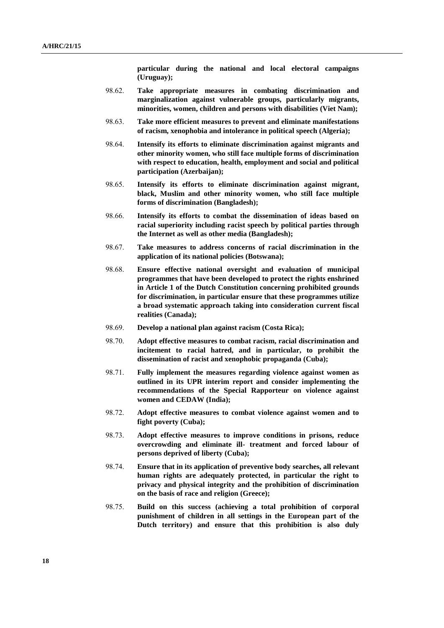**particular during the national and local electoral campaigns (Uruguay);**

- 98.62. **Take appropriate measures in combating discrimination and marginalization against vulnerable groups, particularly migrants, minorities, women, children and persons with disabilities (Viet Nam);**
- 98.63. **Take more efficient measures to prevent and eliminate manifestations of racism, xenophobia and intolerance in political speech (Algeria);**
- 98.64. **Intensify its efforts to eliminate discrimination against migrants and other minority women, who still face multiple forms of discrimination with respect to education, health, employment and social and political participation (Azerbaijan);**
- 98.65. **Intensify its efforts to eliminate discrimination against migrant, black, Muslim and other minority women, who still face multiple forms of discrimination (Bangladesh);**
- 98.66. **Intensify its efforts to combat the dissemination of ideas based on racial superiority including racist speech by political parties through the Internet as well as other media (Bangladesh);**
- 98.67. **Take measures to address concerns of racial discrimination in the application of its national policies (Botswana);**
- 98.68. **Ensure effective national oversight and evaluation of municipal programmes that have been developed to protect the rights enshrined in Article 1 of the Dutch Constitution concerning prohibited grounds for discrimination, in particular ensure that these programmes utilize a broad systematic approach taking into consideration current fiscal realities (Canada);**
- 98.69. **Develop a national plan against racism (Costa Rica);**
- 98.70. **Adopt effective measures to combat racism, racial discrimination and incitement to racial hatred, and in particular, to prohibit the dissemination of racist and xenophobic propaganda (Cuba);**
- 98.71. **Fully implement the measures regarding violence against women as outlined in its UPR interim report and consider implementing the recommendations of the Special Rapporteur on violence against women and CEDAW (India);**
- 98.72. **Adopt effective measures to combat violence against women and to fight poverty (Cuba);**
- 98.73. **Adopt effective measures to improve conditions in prisons, reduce overcrowding and eliminate ill- treatment and forced labour of persons deprived of liberty (Cuba);**
- 98.74. **Ensure that in its application of preventive body searches, all relevant human rights are adequately protected, in particular the right to privacy and physical integrity and the prohibition of discrimination on the basis of race and religion (Greece);**
- 98.75. **Build on this success (achieving a total prohibition of corporal punishment of children in all settings in the European part of the Dutch territory) and ensure that this prohibition is also duly**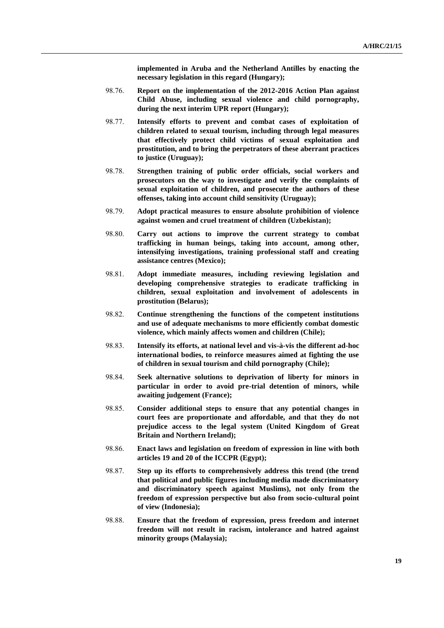**implemented in Aruba and the Netherland Antilles by enacting the necessary legislation in this regard (Hungary);**

- 98.76. **Report on the implementation of the 2012-2016 Action Plan against Child Abuse, including sexual violence and child pornography, during the next interim UPR report (Hungary);**
- 98.77. **Intensify efforts to prevent and combat cases of exploitation of children related to sexual tourism, including through legal measures that effectively protect child victims of sexual exploitation and prostitution, and to bring the perpetrators of these aberrant practices to justice (Uruguay);**
- 98.78. **Strengthen training of public order officials, social workers and prosecutors on the way to investigate and verify the complaints of sexual exploitation of children, and prosecute the authors of these offenses, taking into account child sensitivity (Uruguay);**
- 98.79. **Adopt practical measures to ensure absolute prohibition of violence against women and cruel treatment of children (Uzbekistan);**
- 98.80. **Carry out actions to improve the current strategy to combat trafficking in human beings, taking into account, among other, intensifying investigations, training professional staff and creating assistance centres (Mexico);**
- 98.81. **Adopt immediate measures, including reviewing legislation and developing comprehensive strategies to eradicate trafficking in children, sexual exploitation and involvement of adolescents in prostitution (Belarus);**
- 98.82. **Continue strengthening the functions of the competent institutions and use of adequate mechanisms to more efficiently combat domestic violence, which mainly affects women and children (Chile);**
- 98.83. **Intensify its efforts, at national level and vis-à-vis the different ad-hoc international bodies, to reinforce measures aimed at fighting the use of children in sexual tourism and child pornography (Chile);**
- 98.84. **Seek alternative solutions to deprivation of liberty for minors in particular in order to avoid pre-trial detention of minors, while awaiting judgement (France);**
- 98.85. **Consider additional steps to ensure that any potential changes in court fees are proportionate and affordable, and that they do not prejudice access to the legal system (United Kingdom of Great Britain and Northern Ireland);**
- 98.86. **Enact laws and legislation on freedom of expression in line with both articles 19 and 20 of the ICCPR (Egypt);**
- 98.87. **Step up its efforts to comprehensively address this trend (the trend that political and public figures including media made discriminatory and discriminatory speech against Muslims), not only from the freedom of expression perspective but also from socio-cultural point of view (Indonesia);**
- 98.88. **Ensure that the freedom of expression, press freedom and internet freedom will not result in racism, intolerance and hatred against minority groups (Malaysia);**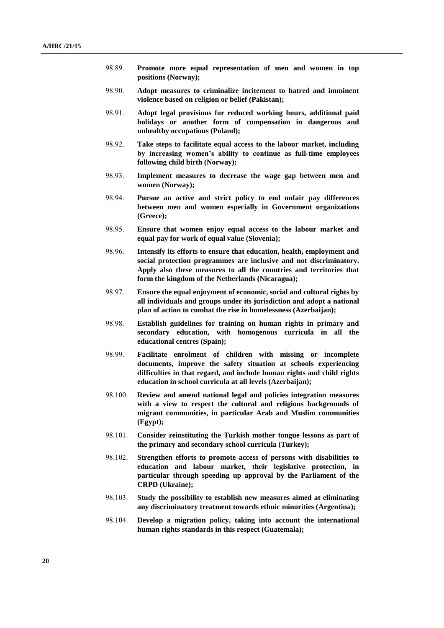- 98.89. **Promote more equal representation of men and women in top positions (Norway);**
- 98.90. **Adopt measures to criminalize incitement to hatred and imminent violence based on religion or belief (Pakistan);**
- 98.91. **Adopt legal provisions for reduced working hours, additional paid holidays or another form of compensation in dangerous and unhealthy occupations (Poland);**
- 98.92. **Take steps to facilitate equal access to the labour market, including by increasing women's ability to continue as full-time employees following child birth (Norway);**
- 98.93. **Implement measures to decrease the wage gap between men and women (Norway);**
- 98.94. **Pursue an active and strict policy to end unfair pay differences between men and women especially in Government organizations (Greece);**
- 98.95. **Ensure that women enjoy equal access to the labour market and equal pay for work of equal value (Slovenia);**
- 98.96. **Intensify its efforts to ensure that education, health, employment and social protection programmes are inclusive and not discriminatory. Apply also these measures to all the countries and territories that form the kingdom of the Netherlands (Nicaragua);**
- 98.97. **Ensure the equal enjoyment of economic, social and cultural rights by all individuals and groups under its jurisdiction and adopt a national plan of action to combat the rise in homelessness (Azerbaijan);**
- 98.98. **Establish guidelines for training on human rights in primary and secondary education, with homogenous curricula in all the educational centres (Spain);**
- 98.99. **Facilitate enrolment of children with missing or incomplete documents, improve the safety situation at schools experiencing difficulties in that regard, and include human rights and child rights education in school curricula at all levels (Azerbaijan);**
- 98.100. **Review and amend national legal and policies integration measures with a view to respect the cultural and religious backgrounds of migrant communities, in particular Arab and Muslim communities (Egypt);**
- 98.101. **Consider reinstituting the Turkish mother tongue lessons as part of the primary and secondary school curricula (Turkey);**
- 98.102. **Strengthen efforts to promote access of persons with disabilities to education and labour market, their legislative protection, in particular through speeding up approval by the Parliament of the CRPD (Ukraine);**
- 98.103. **Study the possibility to establish new measures aimed at eliminating any discriminatory treatment towards ethnic minorities (Argentina);**
- 98.104. **Develop a migration policy, taking into account the international human rights standards in this respect (Guatemala);**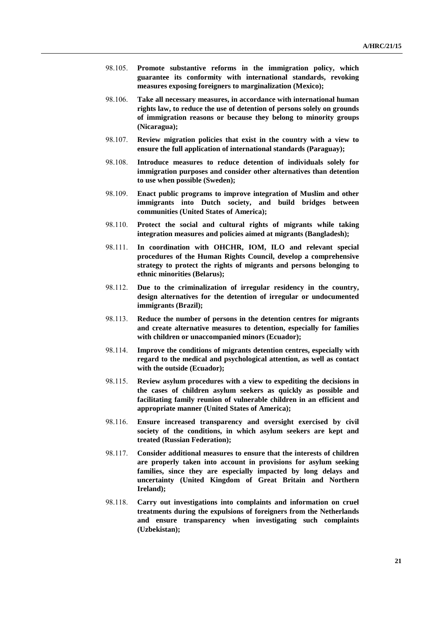- 98.105. **Promote substantive reforms in the immigration policy, which guarantee its conformity with international standards, revoking measures exposing foreigners to marginalization (Mexico);**
- 98.106. **Take all necessary measures, in accordance with international human rights law, to reduce the use of detention of persons solely on grounds of immigration reasons or because they belong to minority groups (Nicaragua);**
- 98.107. **Review migration policies that exist in the country with a view to ensure the full application of international standards (Paraguay);**
- 98.108. **Introduce measures to reduce detention of individuals solely for immigration purposes and consider other alternatives than detention to use when possible (Sweden);**
- 98.109. **Enact public programs to improve integration of Muslim and other immigrants into Dutch society, and build bridges between communities (United States of America);**
- 98.110. **Protect the social and cultural rights of migrants while taking integration measures and policies aimed at migrants (Bangladesh);**
- 98.111. **In coordination with OHCHR, IOM, ILO and relevant special procedures of the Human Rights Council, develop a comprehensive strategy to protect the rights of migrants and persons belonging to ethnic minorities (Belarus);**
- 98.112. **Due to the criminalization of irregular residency in the country, design alternatives for the detention of irregular or undocumented immigrants (Brazil);**
- 98.113. **Reduce the number of persons in the detention centres for migrants and create alternative measures to detention, especially for families with children or unaccompanied minors (Ecuador);**
- 98.114. **Improve the conditions of migrants detention centres, especially with regard to the medical and psychological attention, as well as contact with the outside (Ecuador);**
- 98.115. **Review asylum procedures with a view to expediting the decisions in the cases of children asylum seekers as quickly as possible and facilitating family reunion of vulnerable children in an efficient and appropriate manner (United States of America);**
- 98.116. **Ensure increased transparency and oversight exercised by civil society of the conditions, in which asylum seekers are kept and treated (Russian Federation);**
- 98.117. **Consider additional measures to ensure that the interests of children are properly taken into account in provisions for asylum seeking families, since they are especially impacted by long delays and uncertainty (United Kingdom of Great Britain and Northern Ireland);**
- 98.118. **Carry out investigations into complaints and information on cruel treatments during the expulsions of foreigners from the Netherlands and ensure transparency when investigating such complaints (Uzbekistan);**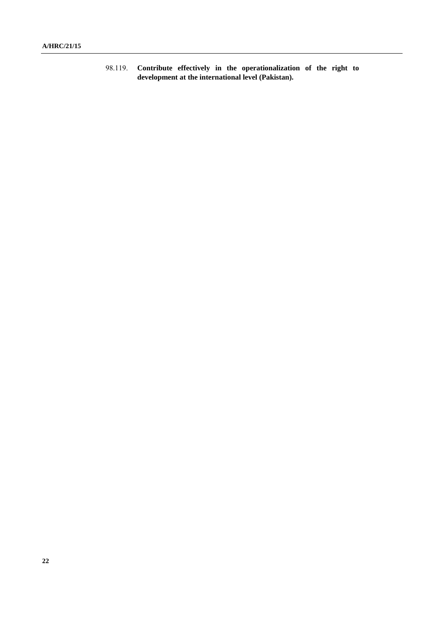98.119. **Contribute effectively in the operationalization of the right to development at the international level (Pakistan).**